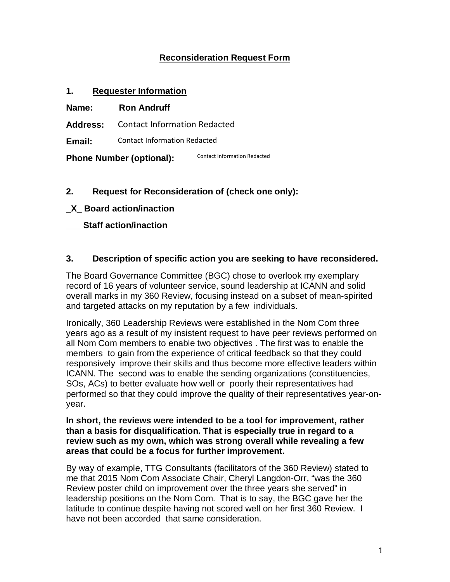# **Reconsideration Request Form**

### **1. Requester Information**

**Name: Ron Andruff** 

**Address:**  Contact Information Redacted

**Email:**  Contact Information Redacted

**Phone Number (optional):**  Contact Information Redacted

# **2. Request for Reconsideration of (check one only):**

- **\_X\_ Board action/inaction**
- **\_\_\_ Staff action/inaction**

### **3. Description of specific action you are seeking to have reconsidered.**

The Board Governance Committee (BGC) chose to overlook my exemplary record of 16 years of volunteer service, sound leadership at ICANN and solid overall marks in my 360 Review, focusing instead on a subset of mean-spirited and targeted attacks on my reputation by a few individuals.

Ironically, 360 Leadership Reviews were established in the Nom Com three years ago as a result of my insistent request to have peer reviews performed on all Nom Com members to enable two objectives . The first was to enable the members to gain from the experience of critical feedback so that they could responsively improve their skills and thus become more effective leaders within ICANN. The second was to enable the sending organizations (constituencies, SOs, ACs) to better evaluate how well or poorly their representatives had performed so that they could improve the quality of their representatives year-onyear.

#### **In short, the reviews were intended to be a tool for improvement, rather than a basis for disqualification. That is especially true in regard to a review such as my own, which was strong overall while revealing a few areas that could be a focus for further improvement.**

By way of example, TTG Consultants (facilitators of the 360 Review) stated to me that 2015 Nom Com Associate Chair, Cheryl Langdon-Orr, "was the 360 Review poster child on improvement over the three years she served" in leadership positions on the Nom Com. That is to say, the BGC gave her the latitude to continue despite having not scored well on her first 360 Review. I have not been accorded that same consideration.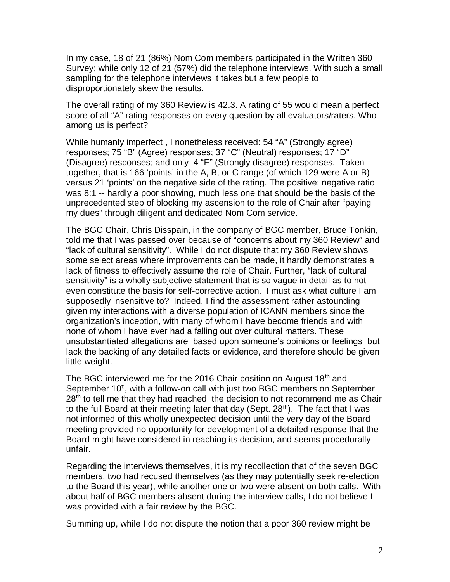In my case, 18 of 21 (86%) Nom Com members participated in the Written 360 Survey; while only 12 of 21 (57%) did the telephone interviews. With such a small sampling for the telephone interviews it takes but a few people to disproportionately skew the results.

The overall rating of my 360 Review is 42.3. A rating of 55 would mean a perfect score of all "A" rating responses on every question by all evaluators/raters. Who among us is perfect?

While humanly imperfect , I nonetheless received: 54 "A" (Strongly agree) responses; 75 "B" (Agree) responses; 37 "C" (Neutral) responses; 17 "D" (Disagree) responses; and only 4 "E" (Strongly disagree) responses. Taken together, that is 166 'points' in the A, B, or C range (of which 129 were A or B) versus 21 'points' on the negative side of the rating. The positive: negative ratio was 8:1 -- hardly a poor showing, much less one that should be the basis of the unprecedented step of blocking my ascension to the role of Chair after "paying my dues" through diligent and dedicated Nom Com service.

The BGC Chair, Chris Disspain, in the company of BGC member, Bruce Tonkin, told me that I was passed over because of "concerns about my 360 Review" and "lack of cultural sensitivity". While I do not dispute that my 360 Review shows some select areas where improvements can be made, it hardly demonstrates a lack of fitness to effectively assume the role of Chair. Further, "lack of cultural sensitivity" is a wholly subjective statement that is so vague in detail as to not even constitute the basis for self-corrective action. I must ask what culture I am supposedly insensitive to? Indeed, I find the assessment rather astounding given my interactions with a diverse population of ICANN members since the organization's inception, with many of whom I have become friends and with none of whom I have ever had a falling out over cultural matters. These unsubstantiated allegations are based upon someone's opinions or feelings but lack the backing of any detailed facts or evidence, and therefore should be given little weight.

The BGC interviewed me for the 2016 Chair position on August  $18<sup>th</sup>$  and September 10<sup>t;</sup>, with a follow-on call with just two BGC members on September  $28<sup>th</sup>$  to tell me that they had reached the decision to not recommend me as Chair to the full Board at their meeting later that day (Sept.  $28<sup>th</sup>$ ). The fact that I was not informed of this wholly unexpected decision until the very day of the Board meeting provided no opportunity for development of a detailed response that the Board might have considered in reaching its decision, and seems procedurally unfair.

Regarding the interviews themselves, it is my recollection that of the seven BGC members, two had recused themselves (as they may potentially seek re-election to the Board this year), while another one or two were absent on both calls. With about half of BGC members absent during the interview calls, I do not believe I was provided with a fair review by the BGC.

Summing up, while I do not dispute the notion that a poor 360 review might be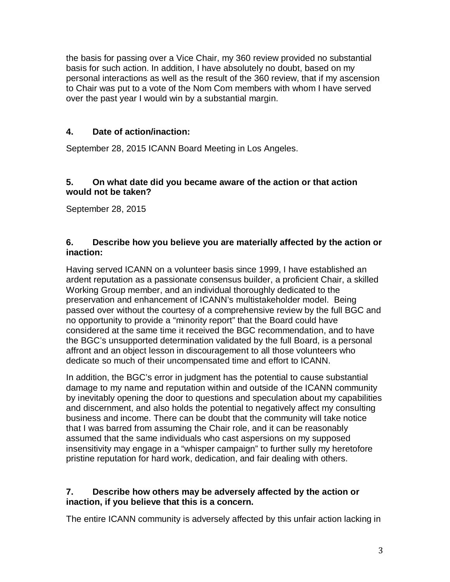the basis for passing over a Vice Chair, my 360 review provided no substantial basis for such action. In addition, I have absolutely no doubt, based on my personal interactions as well as the result of the 360 review, that if my ascension to Chair was put to a vote of the Nom Com members with whom I have served over the past year I would win by a substantial margin.

## **4. Date of action/inaction:**

September 28, 2015 ICANN Board Meeting in Los Angeles.

#### **5. On what date did you became aware of the action or that action would not be taken?**

September 28, 2015

### **6. Describe how you believe you are materially affected by the action or inaction:**

Having served ICANN on a volunteer basis since 1999, I have established an ardent reputation as a passionate consensus builder, a proficient Chair, a skilled Working Group member, and an individual thoroughly dedicated to the preservation and enhancement of ICANN's multistakeholder model. Being passed over without the courtesy of a comprehensive review by the full BGC and no opportunity to provide a "minority report" that the Board could have considered at the same time it received the BGC recommendation, and to have the BGC's unsupported determination validated by the full Board, is a personal affront and an object lesson in discouragement to all those volunteers who dedicate so much of their uncompensated time and effort to ICANN.

In addition, the BGC's error in judgment has the potential to cause substantial damage to my name and reputation within and outside of the ICANN community by inevitably opening the door to questions and speculation about my capabilities and discernment, and also holds the potential to negatively affect my consulting business and income. There can be doubt that the community will take notice that I was barred from assuming the Chair role, and it can be reasonably assumed that the same individuals who cast aspersions on my supposed insensitivity may engage in a "whisper campaign" to further sully my heretofore pristine reputation for hard work, dedication, and fair dealing with others.

### **7. Describe how others may be adversely affected by the action or inaction, if you believe that this is a concern.**

The entire ICANN community is adversely affected by this unfair action lacking in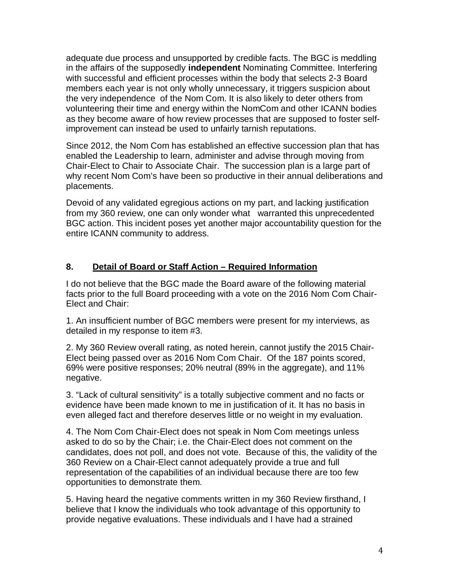adequate due process and unsupported by credible facts. The BGC is meddling in the affairs of the supposedly **independent** Nominating Committee. Interfering with successful and efficient processes within the body that selects 2-3 Board members each year is not only wholly unnecessary, it triggers suspicion about the very independence of the Nom Com. It is also likely to deter others from volunteering their time and energy within the NomCom and other ICANN bodies as they become aware of how review processes that are supposed to foster selfimprovement can instead be used to unfairly tarnish reputations.

Since 2012, the Nom Com has established an effective succession plan that has enabled the Leadership to learn, administer and advise through moving from Chair-Elect to Chair to Associate Chair. The succession plan is a large part of why recent Nom Com's have been so productive in their annual deliberations and placements.

Devoid of any validated egregious actions on my part, and lacking justification from my 360 review, one can only wonder what warranted this unprecedented BGC action. This incident poses yet another major accountability question for the entire ICANN community to address.

# **8. Detail of Board or Staff Action – Required Information**

I do not believe that the BGC made the Board aware of the following material facts prior to the full Board proceeding with a vote on the 2016 Nom Com Chair-Elect and Chair:

1. An insufficient number of BGC members were present for my interviews, as detailed in my response to item #3.

2. My 360 Review overall rating, as noted herein, cannot justify the 2015 Chair-Elect being passed over as 2016 Nom Com Chair. Of the 187 points scored, 69% were positive responses; 20% neutral (89% in the aggregate), and 11% negative.

3. "Lack of cultural sensitivity" is a totally subjective comment and no facts or evidence have been made known to me in justification of it. It has no basis in even alleged fact and therefore deserves little or no weight in my evaluation.

4. The Nom Com Chair-Elect does not speak in Nom Com meetings unless asked to do so by the Chair; i.e. the Chair-Elect does not comment on the candidates, does not poll, and does not vote. Because of this, the validity of the 360 Review on a Chair-Elect cannot adequately provide a true and full representation of the capabilities of an individual because there are too few opportunities to demonstrate them.

5. Having heard the negative comments written in my 360 Review firsthand, I believe that I know the individuals who took advantage of this opportunity to provide negative evaluations. These individuals and I have had a strained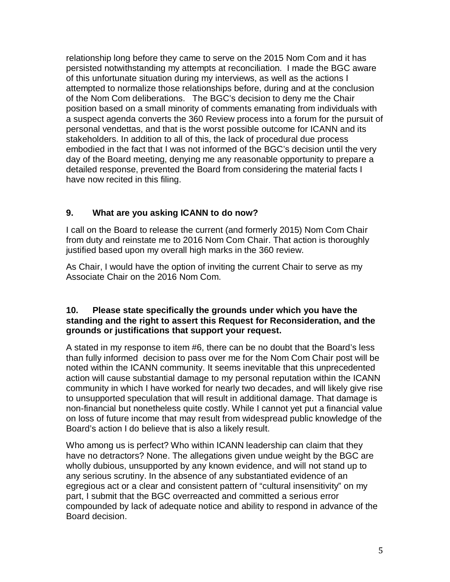relationship long before they came to serve on the 2015 Nom Com and it has persisted notwithstanding my attempts at reconciliation. I made the BGC aware of this unfortunate situation during my interviews, as well as the actions I attempted to normalize those relationships before, during and at the conclusion of the Nom Com deliberations. The BGC's decision to deny me the Chair position based on a small minority of comments emanating from individuals with a suspect agenda converts the 360 Review process into a forum for the pursuit of personal vendettas, and that is the worst possible outcome for ICANN and its stakeholders. In addition to all of this, the lack of procedural due process embodied in the fact that I was not informed of the BGC's decision until the very day of the Board meeting, denying me any reasonable opportunity to prepare a detailed response, prevented the Board from considering the material facts I have now recited in this filing.

# **9. What are you asking ICANN to do now?**

I call on the Board to release the current (and formerly 2015) Nom Com Chair from duty and reinstate me to 2016 Nom Com Chair. That action is thoroughly justified based upon my overall high marks in the 360 review.

As Chair, I would have the option of inviting the current Chair to serve as my Associate Chair on the 2016 Nom Com.

#### **10. Please state specifically the grounds under which you have the standing and the right to assert this Request for Reconsideration, and the grounds or justifications that support your request.**

A stated in my response to item #6, there can be no doubt that the Board's less than fully informed decision to pass over me for the Nom Com Chair post will be noted within the ICANN community. It seems inevitable that this unprecedented action will cause substantial damage to my personal reputation within the ICANN community in which I have worked for nearly two decades, and will likely give rise to unsupported speculation that will result in additional damage. That damage is non-financial but nonetheless quite costly. While I cannot yet put a financial value on loss of future income that may result from widespread public knowledge of the Board's action I do believe that is also a likely result.

Who among us is perfect? Who within ICANN leadership can claim that they have no detractors? None. The allegations given undue weight by the BGC are wholly dubious, unsupported by any known evidence, and will not stand up to any serious scrutiny. In the absence of any substantiated evidence of an egregious act or a clear and consistent pattern of "cultural insensitivity" on my part, I submit that the BGC overreacted and committed a serious error compounded by lack of adequate notice and ability to respond in advance of the Board decision.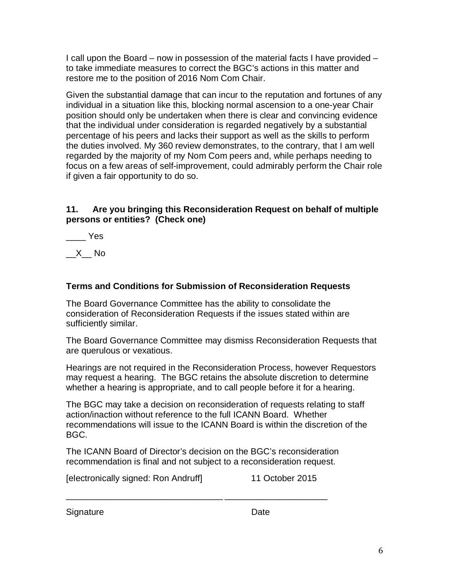I call upon the Board – now in possession of the material facts I have provided – to take immediate measures to correct the BGC's actions in this matter and restore me to the position of 2016 Nom Com Chair.

Given the substantial damage that can incur to the reputation and fortunes of any individual in a situation like this, blocking normal ascension to a one-year Chair position should only be undertaken when there is clear and convincing evidence that the individual under consideration is regarded negatively by a substantial percentage of his peers and lacks their support as well as the skills to perform the duties involved. My 360 review demonstrates, to the contrary, that I am well regarded by the majority of my Nom Com peers and, while perhaps needing to focus on a few areas of self-improvement, could admirably perform the Chair role if given a fair opportunity to do so.

## **11. Are you bringing this Reconsideration Request on behalf of multiple persons or entities? (Check one)**

\_\_\_\_ Yes

 $X$  No

# **Terms and Conditions for Submission of Reconsideration Requests**

The Board Governance Committee has the ability to consolidate the consideration of Reconsideration Requests if the issues stated within are sufficiently similar.

The Board Governance Committee may dismiss Reconsideration Requests that are querulous or vexatious.

Hearings are not required in the Reconsideration Process, however Requestors may request a hearing. The BGC retains the absolute discretion to determine whether a hearing is appropriate, and to call people before it for a hearing.

The BGC may take a decision on reconsideration of requests relating to staff action/inaction without reference to the full ICANN Board. Whether recommendations will issue to the ICANN Board is within the discretion of the BGC.

The ICANN Board of Director's decision on the BGC's reconsideration recommendation is final and not subject to a reconsideration request.

| [electronically signed: Ron Andruff] | 11 October 2015 |
|--------------------------------------|-----------------|
|--------------------------------------|-----------------|

\_\_\_\_\_\_\_\_\_\_\_\_\_\_\_\_\_\_\_\_\_\_\_\_\_\_\_\_\_\_\_\_ \_\_\_\_\_\_\_\_\_\_\_\_\_\_\_\_\_\_\_\_\_

Signature Date